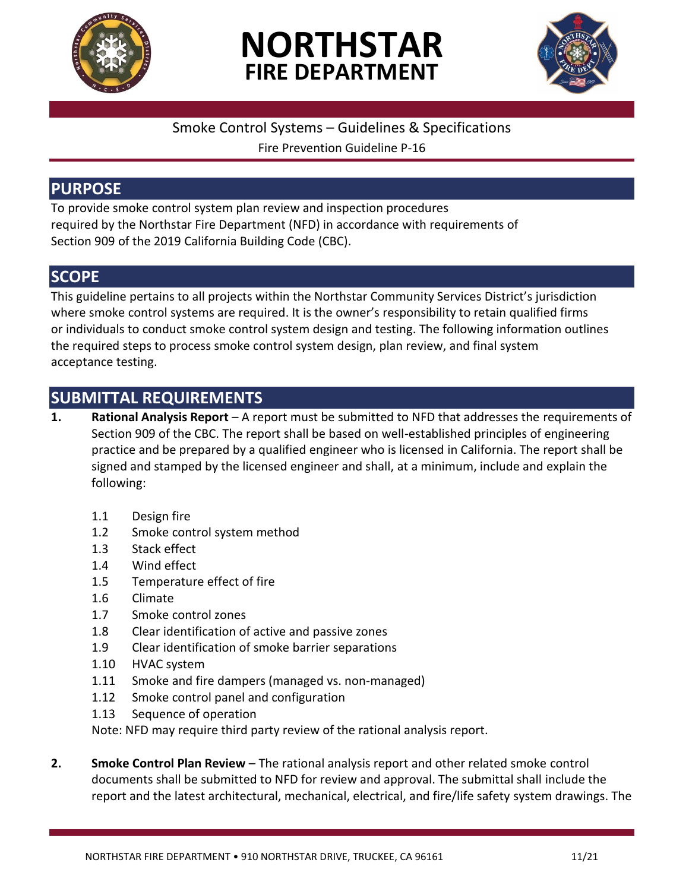

# **NORTHSTAR FIRE DEPARTMENT**



#### Smoke Control Systems – Guidelines & Specifications

Fire Prevention Guideline P-16

#### **PURPOSE**

To provide smoke control system plan review and inspection procedures required by the Northstar Fire Department (NFD) in accordance with requirements of Section 909 of the 2019 California Building Code (CBC).

# **SCOPE**

This guideline pertains to all projects within the Northstar Community Services District's jurisdiction where smoke control systems are required. It is the owner's responsibility to retain qualified firms or individuals to conduct smoke control system design and testing. The following information outlines the required steps to process smoke control system design, plan review, and final system acceptance testing.

# **SUBMITTAL REQUIREMENTS**

- **1. Rational Analysis Report** A report must be submitted to NFD that addresses the requirements of Section 909 of the CBC. The report shall be based on well-established principles of engineering practice and be prepared by a qualified engineer who is licensed in California. The report shall be signed and stamped by the licensed engineer and shall, at a minimum, include and explain the following:
	- 1.1 Design fire
	- 1.2 Smoke control system method
	- 1.3 Stack effect
	- 1.4 Wind effect
	- 1.5 Temperature effect of fire
	- 1.6 Climate
	- 1.7 Smoke control zones
	- 1.8 Clear identification of active and passive zones
	- 1.9 Clear identification of smoke barrier separations
	- 1.10 HVAC system
	- 1.11 Smoke and fire dampers (managed vs. non-managed)
	- 1.12 Smoke control panel and configuration
	- 1.13 Sequence of operation

Note: NFD may require third party review of the rational analysis report.

**2. Smoke Control Plan Review** – The rational analysis report and other related smoke control documents shall be submitted to NFD for review and approval. The submittal shall include the report and the latest architectural, mechanical, electrical, and fire/life safety system drawings. The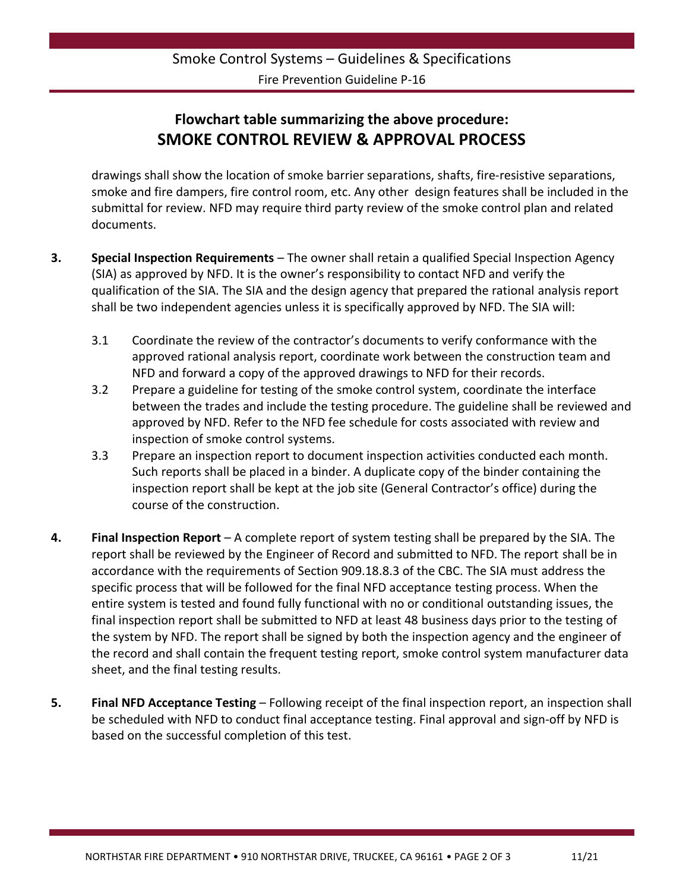### **Flowchart table summarizing the above procedure: SMOKE CONTROL REVIEW & APPROVAL PROCESS**

drawings shall show the location of smoke barrier separations, shafts, fire-resistive separations, smoke and fire dampers, fire control room, etc. Any other design features shall be included in the submittal for review. NFD may require third party review of the smoke control plan and related documents.

- **3. Special Inspection Requirements** The owner shall retain a qualified Special Inspection Agency (SIA) as approved by NFD. It is the owner's responsibility to contact NFD and verify the qualification of the SIA. The SIA and the design agency that prepared the rational analysis report shall be two independent agencies unless it is specifically approved by NFD. The SIA will:
	- 3.1 Coordinate the review of the contractor's documents to verify conformance with the approved rational analysis report, coordinate work between the construction team and NFD and forward a copy of the approved drawings to NFD for their records.
	- 3.2 Prepare a guideline for testing of the smoke control system, coordinate the interface between the trades and include the testing procedure. The guideline shall be reviewed and approved by NFD. Refer to the NFD fee schedule for costs associated with review and inspection of smoke control systems.
	- 3.3 Prepare an inspection report to document inspection activities conducted each month. Such reports shall be placed in a binder. A duplicate copy of the binder containing the inspection report shall be kept at the job site (General Contractor's office) during the course of the construction.
- **4. Final Inspection Report** A complete report of system testing shall be prepared by the SIA. The report shall be reviewed by the Engineer of Record and submitted to NFD. The report shall be in accordance with the requirements of Section 909.18.8.3 of the CBC. The SIA must address the specific process that will be followed for the final NFD acceptance testing process. When the entire system is tested and found fully functional with no or conditional outstanding issues, the final inspection report shall be submitted to NFD at least 48 business days prior to the testing of the system by NFD. The report shall be signed by both the inspection agency and the engineer of the record and shall contain the frequent testing report, smoke control system manufacturer data sheet, and the final testing results.
- **5. Final NFD Acceptance Testing** Following receipt of the final inspection report, an inspection shall be scheduled with NFD to conduct final acceptance testing. Final approval and sign-off by NFD is based on the successful completion of this test.